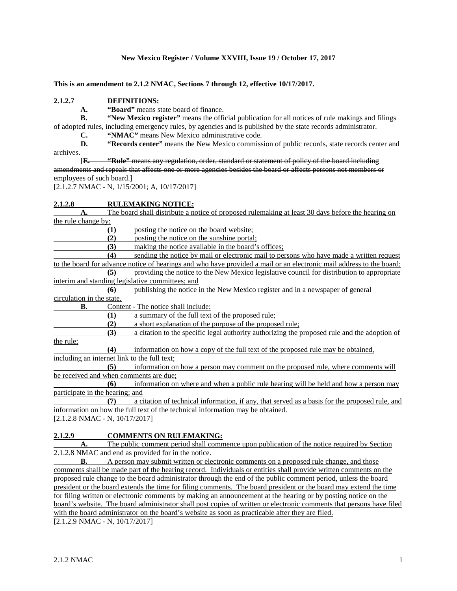#### **New Mexico Register / Volume XXVIII, Issue 19 / October 17, 2017**

**This is an amendment to 2.1.2 NMAC, Sections 7 through 12, effective 10/17/2017.**

#### **2.1.2.7 DEFINITIONS:**

**A. "Board"** means state board of finance.

**B. "New Mexico register"** means the official publication for all notices of rule makings and filings of adopted rules, including emergency rules, by agencies and is published by the state records administrator.

**C. "NMAC"** means New Mexico administrative code.<br>**D. "Records center"** means the New Mexico commiss **D. "Records center"** means the New Mexico commission of public records, state records center and archives.

[**E. "Rule"** means any regulation, order, standard or statement of policy of the board including amendments and repeals that affects one or more agencies besides the board or affects persons not members or employees of such board.]

[2.1.2.7 NMAC - N, 1/15/2001; A, 10/17/2017]

# **2.1.2.8 RULEMAKING NOTICE:**

**A.** The board shall distribute a notice of proposed rulemaking at least 30 days before the hearing on the rule change by: **(1)** posting the notice on the board website; **(2)** posting the notice on the sunshine portal; (3) making the notice available in the board's offices;<br>(4) sending the notice by mail or electronic mail to be **(4)** sending the notice by mail or electronic mail to persons who have made a written request to the board for advance notice of hearings and who have provided a mail or an electronic mail address to the board; **(5)** providing the notice to the New Mexico legislative council for distribution to appropriate interim and standing legislative committees; and **(6)** publishing the notice in the New Mexico register and in a newspaper of general circulation in the state. **B.** Content - The notice shall include: **(1)** a summary of the full text of the proposed rule;<br>**(2)** a short explanation of the purpose of the propos **(2)** a short explanation of the purpose of the proposed rule; **(3)** a citation to the specific legal authority authorizing the proposed rule and the adoption of the rule; **(4)** information on how a copy of the full text of the proposed rule may be obtained, including an internet link to the full text; **(5)** information on how a person may comment on the proposed rule, where comments will be received and when comments are due; **(6)** information on where and when a public rule hearing will be held and how a person may participate in the hearing; and **(7)** a citation of technical information, if any, that served as a basis for the proposed rule, and information on how the full text of the technical information may be obtained. [2.1.2.8 NMAC - N, 10/17/2017] **2.1.2.9 COMMENTS ON RULEMAKING:**

The public comment period shall commence upon publication of the notice required by Section 2.1.2.8 NMAC and end as provided for in the notice.

**B.** A person may submit written or electronic comments on a proposed rule change, and those comments shall be made part of the hearing record. Individuals or entities shall provide written comments on the proposed rule change to the board administrator through the end of the public comment period, unless the board president or the board extends the time for filing comments. The board president or the board may extend the time for filing written or electronic comments by making an announcement at the hearing or by posting notice on the board's website. The board administrator shall post copies of written or electronic comments that persons have filed with the board administrator on the board's website as soon as practicable after they are filed. [2.1.2.9 NMAC - N, 10/17/2017]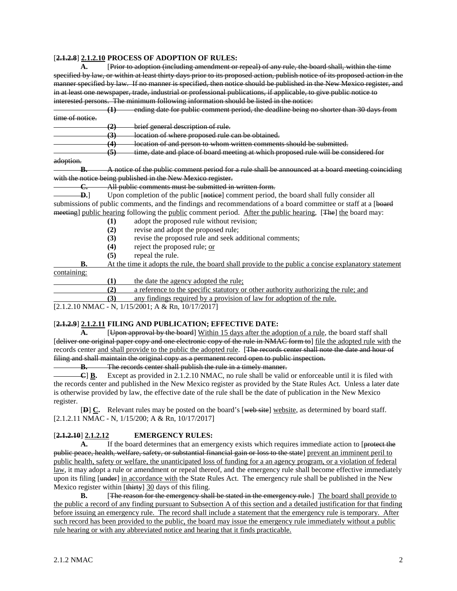#### [**2.1.2.8**] **2.1.2.10 PROCESS OF ADOPTION OF RULES:**

**A.** [Prior to adoption (including amendment or repeal) of any rule, the board shall, within the time specified by law, or within at least thirty days prior to its proposed action, publish notice of its proposed action in the manner specified by law. If no manner is specified, then notice should be published in the New Mexico register, and in at least one newspaper, trade, industrial or professional publications, if applicable, to give public notice to interested persons. The minimum following information should be listed in the notice:

**(1)** ending date for public comment period, the deadline being no shorter than 30 days from time of notice.

**(2)** brief general description of rule.

**(3)** location of where proposed rule can be obtained.

**(4)** location of and person to whom written comments should be submitted.

**(5)** time, date and place of board meeting at which proposed rule will be considered for

#### adoption.

**B.** A notice of the public comment period for a rule shall be announced at a board meeting coinciding with the notice being published in the New Mexico register.

**C.** All public comments must be submitted in written form.

**D.**] Upon completion of the public [notice] comment period, the board shall fully consider all submissions of public comments, and the findings and recommendations of a board committee or staff at a [board meeting] public hearing following the public comment period. After the public hearing, [The] the board may:

- **(1)** adopt the proposed rule without revision;
- **(2)** revise and adopt the proposed rule;

(3) revise the proposed rule and seek additional comments;<br>(4) reject the proposed rule: or

- reject the proposed rule; or
- **(5)** repeal the rule.

**B.** At the time it adopts the rule, the board shall provide to the public a concise explanatory statement containing:

**(1)** the date the agency adopted the rule;

**(2)** a reference to the specific statutory or other authority authorizing the rule; and

**(3)** any findings required by a provision of law for adoption of the rule.

[2.1.2.10 NMAC - N, 1/15/2001; A & Rn, 10/17/2017]

## [**2.1.2.9**] **2.1.2.11 FILING AND PUBLICATION; EFFECTIVE DATE:**

**A.** [Upon approval by the board] Within 15 days after the adoption of a rule, the board staff shall [deliver one original paper copy and one electronic copy of the rule in NMAC form to] file the adopted rule with the records center and shall provide to the public the adopted rule. [The records center shall note the date and hour of filing and shall maintain the original copy as a permanent record open to public inspection.

**B.** The records center shall publish the rule in a timely manner.<br> **C** B. Except as provided in 2.1.2.10 NMAC, no rule shall be valid

Except as provided in 2.1.2.10 NMAC, no rule shall be valid or enforceable until it is filed with the records center and published in the New Mexico register as provided by the State Rules Act. Unless a later date is otherwise provided by law, the effective date of the rule shall be the date of publication in the New Mexico register.

[**D**] **C.** Relevant rules may be posted on the board's [web site] website, as determined by board staff. [2.1.2.11 NMAC - N, 1/15/200; A & Rn, 10/17/2017]

### [**2.1.2.10**] **2.1.2.12 EMERGENCY RULES:**

A. If the board determines that an emergency exists which requires immediate action to [protect the public peace, health, welfare, safety, or substantial financial gain or loss to the state] prevent an imminent peril to public health, safety or welfare, the unanticipated loss of funding for a an agency program, or a violation of federal law, it may adopt a rule or amendment or repeal thereof, and the emergency rule shall become effective immediately upon its filing [under] in accordance with the State Rules Act. The emergency rule shall be published in the New Mexico register within [thirty] 30 days of this filing.

**B.** [The reason for the emergency shall be stated in the emergency rule.] The board shall provide to the public a record of any finding pursuant to Subsection A of this section and a detailed justification for that finding before issuing an emergency rule. The record shall include a statement that the emergency rule is temporary. After such record has been provided to the public, the board may issue the emergency rule immediately without a public rule hearing or with any abbreviated notice and hearing that it finds practicable.